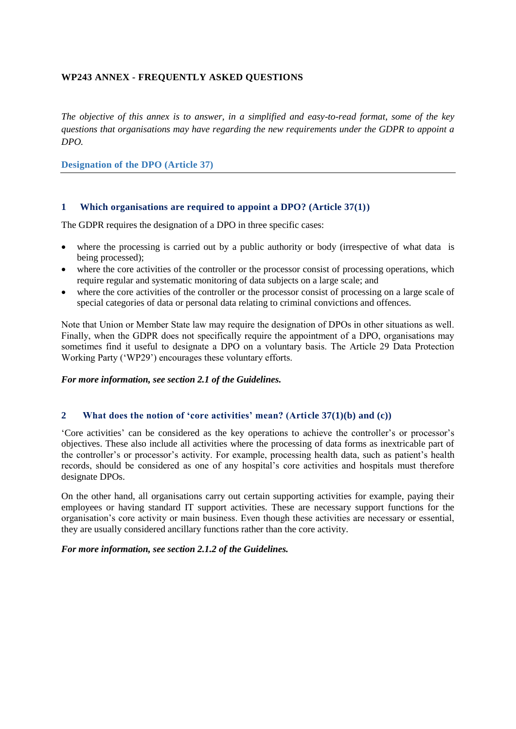## **WP243 ANNEX - FREQUENTLY ASKED QUESTIONS**

*The objective of this annex is to answer, in a simplified and easy-to-read format, some of the key questions that organisations may have regarding the new requirements under the GDPR to appoint a DPO.* 

**Designation of the DPO (Article 37)**

#### **1 Which organisations are required to appoint a DPO? (Article 37(1))**

The GDPR requires the designation of a DPO in three specific cases:

- where the processing is carried out by a public authority or body (irrespective of what data is being processed);
- where the core activities of the controller or the processor consist of processing operations, which require regular and systematic monitoring of data subjects on a large scale; and
- where the core activities of the controller or the processor consist of processing on a large scale of special categories of data or personal data relating to criminal convictions and offences.

Note that Union or Member State law may require the designation of DPOs in other situations as well. Finally, when the GDPR does not specifically require the appointment of a DPO, organisations may sometimes find it useful to designate a DPO on a voluntary basis. The Article 29 Data Protection Working Party ('WP29') encourages these voluntary efforts.

*For more information, see section 2.1 of the Guidelines.*

#### **2 What does the notion of 'core activities' mean? (Article 37(1)(b) and (c))**

'Core activities' can be considered as the key operations to achieve the controller's or processor's objectives. These also include all activities where the processing of data forms as inextricable part of the controller's or processor's activity. For example, processing health data, such as patient's health records, should be considered as one of any hospital's core activities and hospitals must therefore designate DPOs.

On the other hand, all organisations carry out certain supporting activities for example, paying their employees or having standard IT support activities. These are necessary support functions for the organisation's core activity or main business. Even though these activities are necessary or essential, they are usually considered ancillary functions rather than the core activity.

*For more information, see section 2.1.2 of the Guidelines.*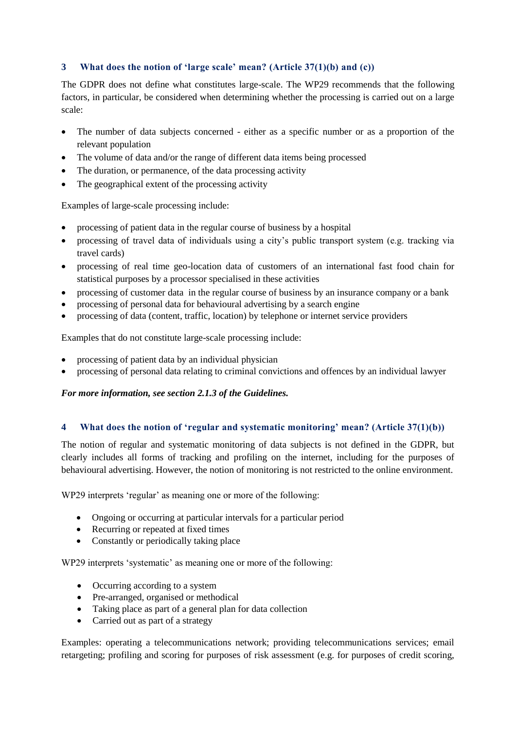## **3 What does the notion of 'large scale' mean? (Article 37(1)(b) and (c))**

The GDPR does not define what constitutes large-scale. The WP29 recommends that the following factors, in particular, be considered when determining whether the processing is carried out on a large scale:

- The number of data subjects concerned either as a specific number or as a proportion of the relevant population
- The volume of data and/or the range of different data items being processed
- The duration, or permanence, of the data processing activity
- The geographical extent of the processing activity

Examples of large-scale processing include:

- processing of patient data in the regular course of business by a hospital
- processing of travel data of individuals using a city's public transport system (e.g. tracking via travel cards)
- processing of real time geo-location data of customers of an international fast food chain for statistical purposes by a processor specialised in these activities
- processing of customer data in the regular course of business by an insurance company or a bank
- processing of personal data for behavioural advertising by a search engine
- processing of data (content, traffic, location) by telephone or internet service providers

Examples that do not constitute large-scale processing include:

- processing of patient data by an individual physician
- processing of personal data relating to criminal convictions and offences by an individual lawyer

### *For more information, see section 2.1.3 of the Guidelines.*

### **4 What does the notion of 'regular and systematic monitoring' mean? (Article 37(1)(b))**

The notion of regular and systematic monitoring of data subjects is not defined in the GDPR, but clearly includes all forms of tracking and profiling on the internet, including for the purposes of behavioural advertising. However, the notion of monitoring is not restricted to the online environment.

WP29 interprets 'regular' as meaning one or more of the following:

- Ongoing or occurring at particular intervals for a particular period
- Recurring or repeated at fixed times
- Constantly or periodically taking place

WP29 interprets 'systematic' as meaning one or more of the following:

- Occurring according to a system
- Pre-arranged, organised or methodical
- Taking place as part of a general plan for data collection
- Carried out as part of a strategy

Examples: operating a telecommunications network; providing telecommunications services; email retargeting; profiling and scoring for purposes of risk assessment (e.g. for purposes of credit scoring,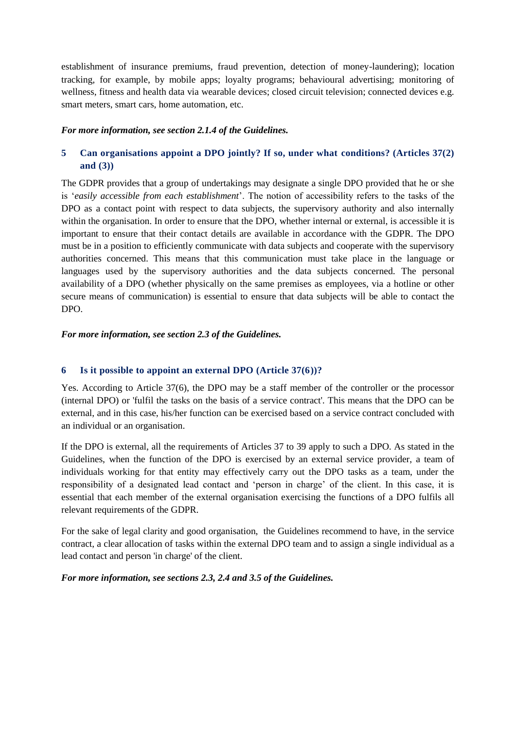establishment of insurance premiums, fraud prevention, detection of money-laundering); location tracking, for example, by mobile apps; loyalty programs; behavioural advertising; monitoring of wellness, fitness and health data via wearable devices; closed circuit television; connected devices e.g. smart meters, smart cars, home automation, etc.

#### *For more information, see section 2.1.4 of the Guidelines.*

# **5 Can organisations appoint a DPO jointly? If so, under what conditions? (Articles 37(2) and (3))**

The GDPR provides that a group of undertakings may designate a single DPO provided that he or she is '*easily accessible from each establishment*'. The notion of accessibility refers to the tasks of the DPO as a contact point with respect to data subjects, the supervisory authority and also internally within the organisation. In order to ensure that the DPO, whether internal or external, is accessible it is important to ensure that their contact details are available in accordance with the GDPR. The DPO must be in a position to efficiently communicate with data subjects and cooperate with the supervisory authorities concerned. This means that this communication must take place in the language or languages used by the supervisory authorities and the data subjects concerned. The personal availability of a DPO (whether physically on the same premises as employees, via a hotline or other secure means of communication) is essential to ensure that data subjects will be able to contact the DPO.

#### *For more information, see section 2.3 of the Guidelines.*

#### **6 Is it possible to appoint an external DPO (Article 37(6))?**

Yes. According to Article 37(6), the DPO may be a staff member of the controller or the processor (internal DPO) or 'fulfil the tasks on the basis of a service contract'. This means that the DPO can be external, and in this case, his/her function can be exercised based on a service contract concluded with an individual or an organisation.

If the DPO is external, all the requirements of Articles 37 to 39 apply to such a DPO. As stated in the Guidelines, when the function of the DPO is exercised by an external service provider, a team of individuals working for that entity may effectively carry out the DPO tasks as a team, under the responsibility of a designated lead contact and 'person in charge' of the client. In this case, it is essential that each member of the external organisation exercising the functions of a DPO fulfils all relevant requirements of the GDPR.

For the sake of legal clarity and good organisation, the Guidelines recommend to have, in the service contract, a clear allocation of tasks within the external DPO team and to assign a single individual as a lead contact and person 'in charge' of the client.

#### *For more information, see sections 2.3, 2.4 and 3.5 of the Guidelines.*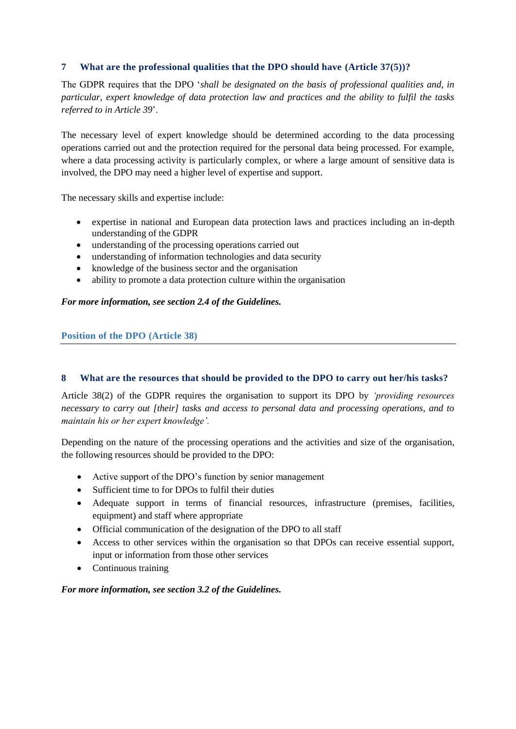## **7 What are the professional qualities that the DPO should have (Article 37(5))?**

The GDPR requires that the DPO '*shall be designated on the basis of professional qualities and, in particular, expert knowledge of data protection law and practices and the ability to fulfil the tasks referred to in Article 39*'.

The necessary level of expert knowledge should be determined according to the data processing operations carried out and the protection required for the personal data being processed. For example, where a data processing activity is particularly complex, or where a large amount of sensitive data is involved, the DPO may need a higher level of expertise and support.

The necessary skills and expertise include:

- expertise in national and European data protection laws and practices including an in-depth understanding of the GDPR
- understanding of the processing operations carried out
- understanding of information technologies and data security
- knowledge of the business sector and the organisation
- ability to promote a data protection culture within the organisation

#### *For more information, see section 2.4 of the Guidelines.*

### **Position of the DPO (Article 38)**

### **8 What are the resources that should be provided to the DPO to carry out her/his tasks?**

Article 38(2) of the GDPR requires the organisation to support its DPO by *'providing resources necessary to carry out [their] tasks and access to personal data and processing operations, and to maintain his or her expert knowledge'.*

Depending on the nature of the processing operations and the activities and size of the organisation, the following resources should be provided to the DPO:

- Active support of the DPO's function by senior management
- Sufficient time to for DPOs to fulfil their duties
- Adequate support in terms of financial resources, infrastructure (premises, facilities, equipment) and staff where appropriate
- Official communication of the designation of the DPO to all staff
- Access to other services within the organisation so that DPOs can receive essential support, input or information from those other services
- Continuous training

### *For more information, see section 3.2 of the Guidelines.*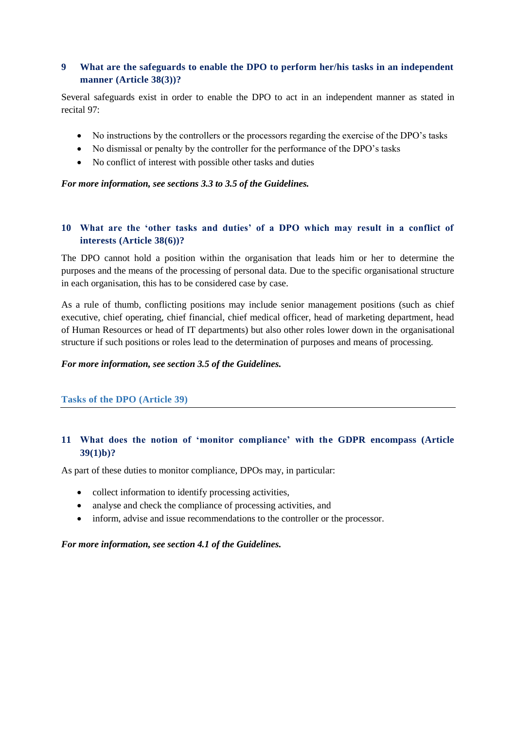# **9 What are the safeguards to enable the DPO to perform her/his tasks in an independent manner (Article 38(3))?**

Several safeguards exist in order to enable the DPO to act in an independent manner as stated in recital 97:

- No instructions by the controllers or the processors regarding the exercise of the DPO's tasks
- No dismissal or penalty by the controller for the performance of the DPO's tasks
- No conflict of interest with possible other tasks and duties

*For more information, see sections 3.3 to 3.5 of the Guidelines.*

## **10 What are the 'other tasks and duties' of a DPO which may result in a conflict of interests (Article 38(6))?**

The DPO cannot hold a position within the organisation that leads him or her to determine the purposes and the means of the processing of personal data. Due to the specific organisational structure in each organisation, this has to be considered case by case.

As a rule of thumb, conflicting positions may include senior management positions (such as chief executive, chief operating, chief financial, chief medical officer, head of marketing department, head of Human Resources or head of IT departments) but also other roles lower down in the organisational structure if such positions or roles lead to the determination of purposes and means of processing.

#### *For more information, see section 3.5 of the Guidelines.*

### **Tasks of the DPO (Article 39)**

### **11 What does the notion of 'monitor compliance' with the GDPR encompass (Article 39(1)b)?**

As part of these duties to monitor compliance, DPOs may, in particular:

- collect information to identify processing activities,
- analyse and check the compliance of processing activities, and
- inform, advise and issue recommendations to the controller or the processor.

#### *For more information, see section 4.1 of the Guidelines.*